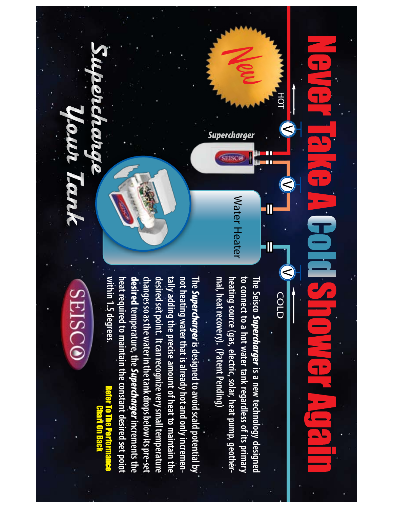## HO T  $\,<$ gann<br>Canadh  $\,<$ Œ S COLD

to connect to a hot water tank regardless of its primary mal, heat recovery). (Patent Pending) heating source (gas, electric, solar, heat pump, geother-The Seisco Supercharger is a new technology designed **mal, heat recovery). (Patent Pending) heating source (gas, electric, solar, heat pump, geother to connect to a hot water tank regardless of its primary The Seisco** Supercharger **is a new technology designed** 

Water Heater

Water Heater

Supercharger

SEISCO

New

heat required to maintain the constant desired set point tally adding the precise amount of heat to maintain the<br>desired set point. It can recognize very small temperature<br>changes so as the water in the tank drops below its pre-set<br>**desired** temperature, the *Supercharger* incre not heating water that is already hot and only incremen-The *Supercharger* is designed to avoid scald potential by **within 1.5 degrees. heat required to maintain the constant desired set point not heating water that is already hot and only incremen**within 1.5 degrees. Supercharger **is designed to avoid scald potential by**  Refer To The Performance

## **SEISCO** Chart On Back

9OUR4ANK

Supercharge **TANO**